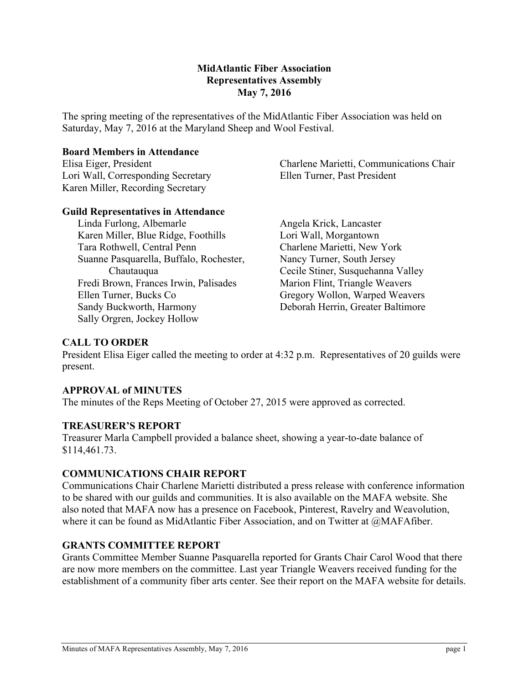#### **MidAtlantic Fiber Association Representatives Assembly May 7, 2016**

The spring meeting of the representatives of the MidAtlantic Fiber Association was held on Saturday, May 7, 2016 at the Maryland Sheep and Wool Festival.

#### **Board Members in Attendance**

Elisa Eiger, President Lori Wall, Corresponding Secretary Karen Miller, Recording Secretary

Charlene Marietti, Communications Chair Ellen Turner, Past President

#### **Guild Representatives in Attendance**

Linda Furlong, Albemarle Karen Miller, Blue Ridge, Foothills Tara Rothwell, Central Penn Suanne Pasquarella, Buffalo, Rochester, Chautauqua Fredi Brown, Frances Irwin, Palisades Ellen Turner, Bucks Co Sandy Buckworth, Harmony Sally Orgren, Jockey Hollow

Angela Krick, Lancaster Lori Wall, Morgantown Charlene Marietti, New York Nancy Turner, South Jersey Cecile Stiner, Susquehanna Valley Marion Flint, Triangle Weavers Gregory Wollon, Warped Weavers Deborah Herrin, Greater Baltimore

# **CALL TO ORDER**

President Elisa Eiger called the meeting to order at 4:32 p.m. Representatives of 20 guilds were present.

## **APPROVAL of MINUTES**

The minutes of the Reps Meeting of October 27, 2015 were approved as corrected.

## **TREASURER'S REPORT**

Treasurer Marla Campbell provided a balance sheet, showing a year-to-date balance of \$114,461.73.

## **COMMUNICATIONS CHAIR REPORT**

Communications Chair Charlene Marietti distributed a press release with conference information to be shared with our guilds and communities. It is also available on the MAFA website. She also noted that MAFA now has a presence on Facebook, Pinterest, Ravelry and Weavolution, where it can be found as MidAtlantic Fiber Association, and on Twitter at @MAFAfiber.

## **GRANTS COMMITTEE REPORT**

Grants Committee Member Suanne Pasquarella reported for Grants Chair Carol Wood that there are now more members on the committee. Last year Triangle Weavers received funding for the establishment of a community fiber arts center. See their report on the MAFA website for details.